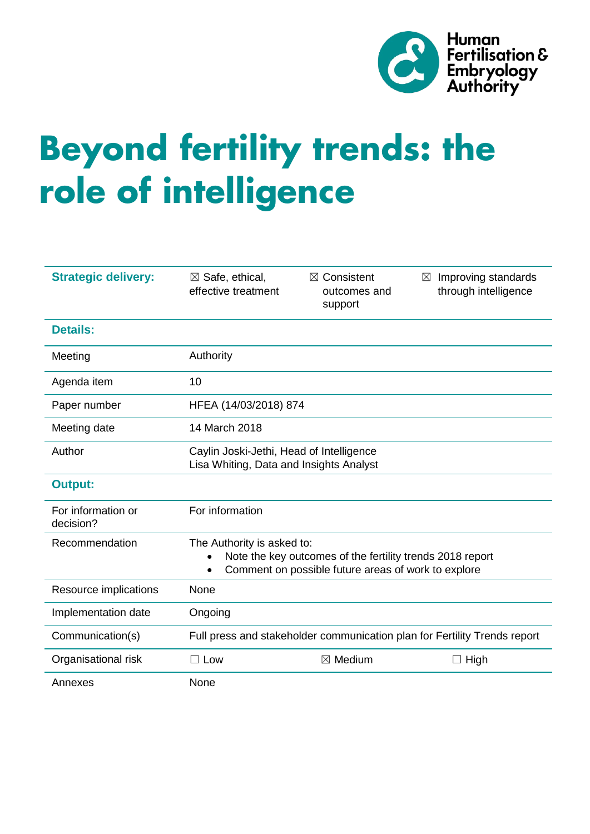

# **Beyond fertility trends: the role of intelligence**

| <b>Strategic delivery:</b>      | $\boxtimes$ Safe, ethical,<br>effective treatment                                                                                                           | $\boxtimes$ Consistent<br>outcomes and<br>support | Improving standards<br>⊠<br>through intelligence |
|---------------------------------|-------------------------------------------------------------------------------------------------------------------------------------------------------------|---------------------------------------------------|--------------------------------------------------|
| <b>Details:</b>                 |                                                                                                                                                             |                                                   |                                                  |
| Meeting                         | Authority                                                                                                                                                   |                                                   |                                                  |
| Agenda item                     | 10                                                                                                                                                          |                                                   |                                                  |
| Paper number                    | HFEA (14/03/2018) 874                                                                                                                                       |                                                   |                                                  |
| Meeting date                    | 14 March 2018                                                                                                                                               |                                                   |                                                  |
| Author                          | Caylin Joski-Jethi, Head of Intelligence<br>Lisa Whiting, Data and Insights Analyst                                                                         |                                                   |                                                  |
| <b>Output:</b>                  |                                                                                                                                                             |                                                   |                                                  |
| For information or<br>decision? | For information                                                                                                                                             |                                                   |                                                  |
| Recommendation                  | The Authority is asked to:<br>Note the key outcomes of the fertility trends 2018 report<br>Comment on possible future areas of work to explore<br>$\bullet$ |                                                   |                                                  |
| Resource implications           | None                                                                                                                                                        |                                                   |                                                  |
| Implementation date             | Ongoing                                                                                                                                                     |                                                   |                                                  |
| Communication(s)                | Full press and stakeholder communication plan for Fertility Trends report                                                                                   |                                                   |                                                  |
| Organisational risk             | $\Box$ Low                                                                                                                                                  | $\boxtimes$ Medium                                | $\Box$ High                                      |
| Annexes                         | None                                                                                                                                                        |                                                   |                                                  |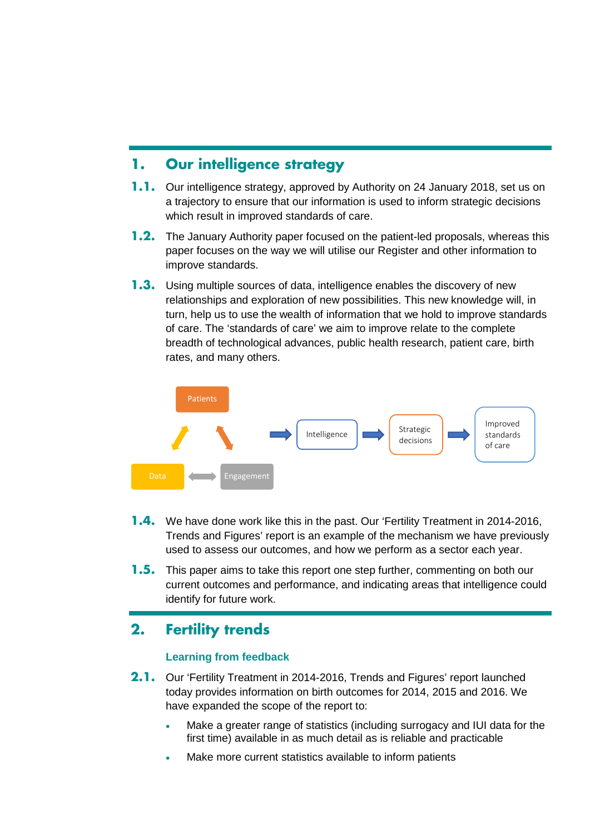## **1. Our intelligence strategy**

- **1.1.** Our intelligence strategy, approved by Authority on 24 January 2018, set us on a trajectory to ensure that our information is used to inform strategic decisions which result in improved standards of care.
- **1.2.** The January Authority paper focused on the patient-led proposals, whereas this paper focuses on the way we will utilise our Register and other information to improve standards.
- **1.3.** Using multiple sources of data, intelligence enables the discovery of new relationships and exploration of new possibilities. This new knowledge will, in turn, help us to use the wealth of information that we hold to improve standards of care. The 'standards of care' we aim to improve relate to the complete breadth of technological advances, public health research, patient care, birth rates, and many others.



- **1.4.** We have done work like this in the past. Our 'Fertility Treatment in 2014-2016, Trends and Figures' report is an example of the mechanism we have previously used to assess our outcomes, and how we perform as a sector each year.
- **1.5.** This paper aims to take this report one step further, commenting on both our current outcomes and performance, and indicating areas that intelligence could identify for future work.

# **2. Fertility trends**

#### **Learning from feedback**

- **2.1.** Our 'Fertility Treatment in 2014-2016, Trends and Figures' report launched today provides information on birth outcomes for 2014, 2015 and 2016. We have expanded the scope of the report to:
	- Make a greater range of statistics (including surrogacy and IUI data for the first time) available in as much detail as is reliable and practicable
	- Make more current statistics available to inform patients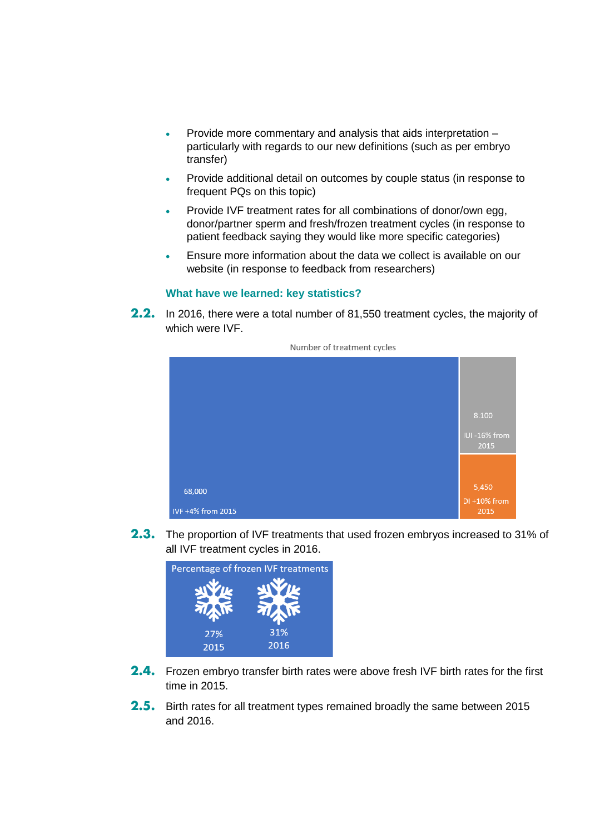- Provide more commentary and analysis that aids interpretation particularly with regards to our new definitions (such as per embryo transfer)
- Provide additional detail on outcomes by couple status (in response to frequent PQs on this topic)
- Provide IVF treatment rates for all combinations of donor/own egg, donor/partner sperm and fresh/frozen treatment cycles (in response to patient feedback saying they would like more specific categories)
- Ensure more information about the data we collect is available on our website (in response to feedback from researchers)

#### **What have we learned: key statistics?**

**2.2.** In 2016, there were a total number of 81,550 treatment cycles, the majority of which were IVF.



Number of treatment cycles

**2.3.** The proportion of IVF treatments that used frozen embryos increased to 31% of all IVF treatment cycles in 2016.



- **2.4.** Frozen embryo transfer birth rates were above fresh IVF birth rates for the first time in 2015.
- **2.5.** Birth rates for all treatment types remained broadly the same between 2015 and 2016.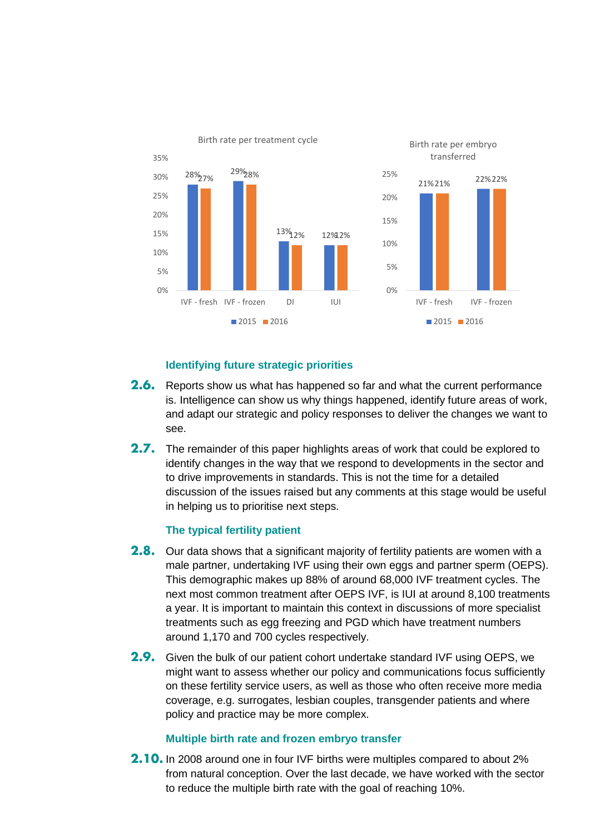

#### **Identifying future strategic priorities**

- **2.6.** Reports show us what has happened so far and what the current performance is. Intelligence can show us why things happened, identify future areas of work, and adapt our strategic and policy responses to deliver the changes we want to see.
- **2.7.** The remainder of this paper highlights areas of work that could be explored to identify changes in the way that we respond to developments in the sector and to drive improvements in standards. This is not the time for a detailed discussion of the issues raised but any comments at this stage would be useful in helping us to prioritise next steps.

#### **The typical fertility patient**

- **2.8.** Our data shows that a significant majority of fertility patients are women with a male partner, undertaking IVF using their own eggs and partner sperm (OEPS). This demographic makes up 88% of around 68,000 IVF treatment cycles. The next most common treatment after OEPS IVF, is IUI at around 8,100 treatments a year. It is important to maintain this context in discussions of more specialist treatments such as egg freezing and PGD which have treatment numbers around 1,170 and 700 cycles respectively.
- **2.9.** Given the bulk of our patient cohort undertake standard IVF using OEPS, we might want to assess whether our policy and communications focus sufficiently on these fertility service users, as well as those who often receive more media coverage, e.g. surrogates, lesbian couples, transgender patients and where policy and practice may be more complex.

#### **Multiple birth rate and frozen embryo transfer**

**2.10.** In 2008 around one in four IVF births were multiples compared to about 2% from natural conception. Over the last decade, we have worked with the sector to reduce the multiple birth rate with the goal of reaching 10%.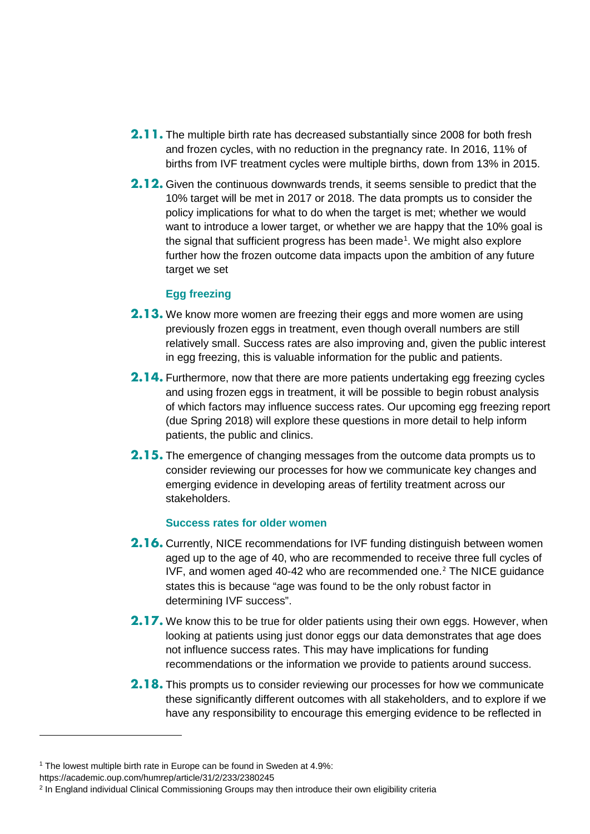- **2.11.** The multiple birth rate has decreased substantially since 2008 for both fresh and frozen cycles, with no reduction in the pregnancy rate. In 2016, 11% of births from IVF treatment cycles were multiple births, down from 13% in 2015.
- **2.12.** Given the continuous downwards trends, it seems sensible to predict that the 10% target will be met in 2017 or 2018. The data prompts us to consider the policy implications for what to do when the target is met; whether we would want to introduce a lower target, or whether we are happy that the 10% goal is the signal that sufficient progress has been made<sup>[1](#page-4-0)</sup>. We might also explore further how the frozen outcome data impacts upon the ambition of any future target we set

#### **Egg freezing**

- **2.13.** We know more women are freezing their eggs and more women are using previously frozen eggs in treatment, even though overall numbers are still relatively small. Success rates are also improving and, given the public interest in egg freezing, this is valuable information for the public and patients.
- **2.14.** Furthermore, now that there are more patients undertaking egg freezing cycles and using frozen eggs in treatment, it will be possible to begin robust analysis of which factors may influence success rates. Our upcoming egg freezing report (due Spring 2018) will explore these questions in more detail to help inform patients, the public and clinics.
- **2.15.** The emergence of changing messages from the outcome data prompts us to consider reviewing our processes for how we communicate key changes and emerging evidence in developing areas of fertility treatment across our stakeholders.

#### **Success rates for older women**

- **2.16.** Currently, NICE recommendations for IVF funding distinguish between women aged up to the age of 40, who are recommended to receive three full cycles of IVF, and women aged 40-42 who are recommended one.[2](#page-4-1) The NICE guidance states this is because "age was found to be the only robust factor in determining IVF success".
- **2.17.** We know this to be true for older patients using their own eggs. However, when looking at patients using just donor eggs our data demonstrates that age does not influence success rates. This may have implications for funding recommendations or the information we provide to patients around success.
- **2.18.** This prompts us to consider reviewing our processes for how we communicate these significantly different outcomes with all stakeholders, and to explore if we have any responsibility to encourage this emerging evidence to be reflected in

-

<span id="page-4-0"></span><sup>&</sup>lt;sup>1</sup> The lowest multiple birth rate in Europe can be found in Sweden at 4.9%:

https://academic.oup.com/humrep/article/31/2/233/2380245

<span id="page-4-1"></span><sup>&</sup>lt;sup>2</sup> In England individual Clinical Commissioning Groups may then introduce their own eligibility criteria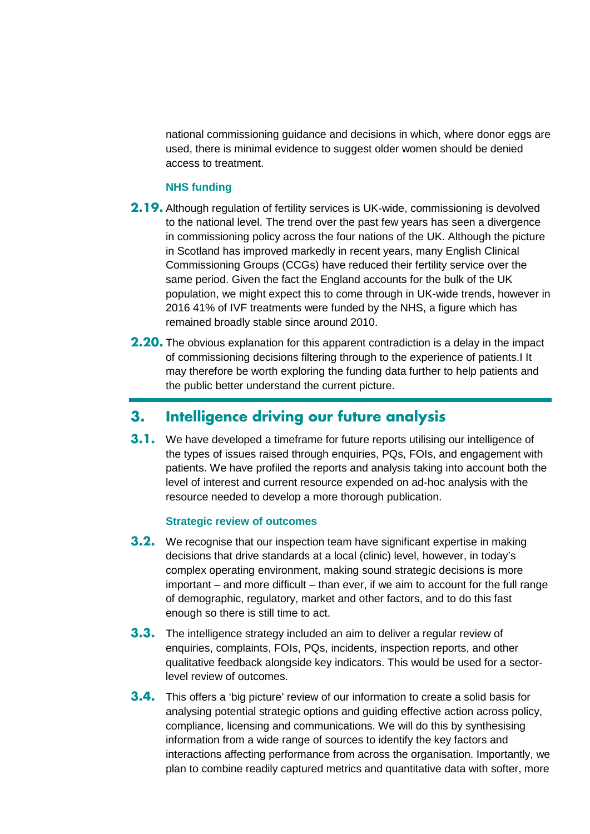national commissioning guidance and decisions in which, where donor eggs are used, there is minimal evidence to suggest older women should be denied access to treatment.

#### **NHS funding**

- **2.19.** Although regulation of fertility services is UK-wide, commissioning is devolved to the national level. The trend over the past few years has seen a divergence in commissioning policy across the four nations of the UK. Although the picture in Scotland has improved markedly in recent years, many English Clinical Commissioning Groups (CCGs) have reduced their fertility service over the same period. Given the fact the England accounts for the bulk of the UK population, we might expect this to come through in UK-wide trends, however in 2016 41% of IVF treatments were funded by the NHS, a figure which has remained broadly stable since around 2010.
- **2.20.** The obvious explanation for this apparent contradiction is a delay in the impact of commissioning decisions filtering through to the experience of patients.I It may therefore be worth exploring the funding data further to help patients and the public better understand the current picture.

## **3. Intelligence driving our future analysis**

**3.1.** We have developed a timeframe for future reports utilising our intelligence of the types of issues raised through enquiries, PQs, FOIs, and engagement with patients. We have profiled the reports and analysis taking into account both the level of interest and current resource expended on ad-hoc analysis with the resource needed to develop a more thorough publication.

#### **Strategic review of outcomes**

- **3.2.** We recognise that our inspection team have significant expertise in making decisions that drive standards at a local (clinic) level, however, in today's complex operating environment, making sound strategic decisions is more important – and more difficult – than ever, if we aim to account for the full range of demographic, regulatory, market and other factors, and to do this fast enough so there is still time to act.
- **3.3.** The intelligence strategy included an aim to deliver a regular review of enquiries, complaints, FOIs, PQs, incidents, inspection reports, and other qualitative feedback alongside key indicators. This would be used for a sectorlevel review of outcomes.
- **3.4.** This offers a 'big picture' review of our information to create a solid basis for analysing potential strategic options and guiding effective action across policy, compliance, licensing and communications. We will do this by synthesising information from a wide range of sources to identify the key factors and interactions affecting performance from across the organisation. Importantly, we plan to combine readily captured metrics and quantitative data with softer, more